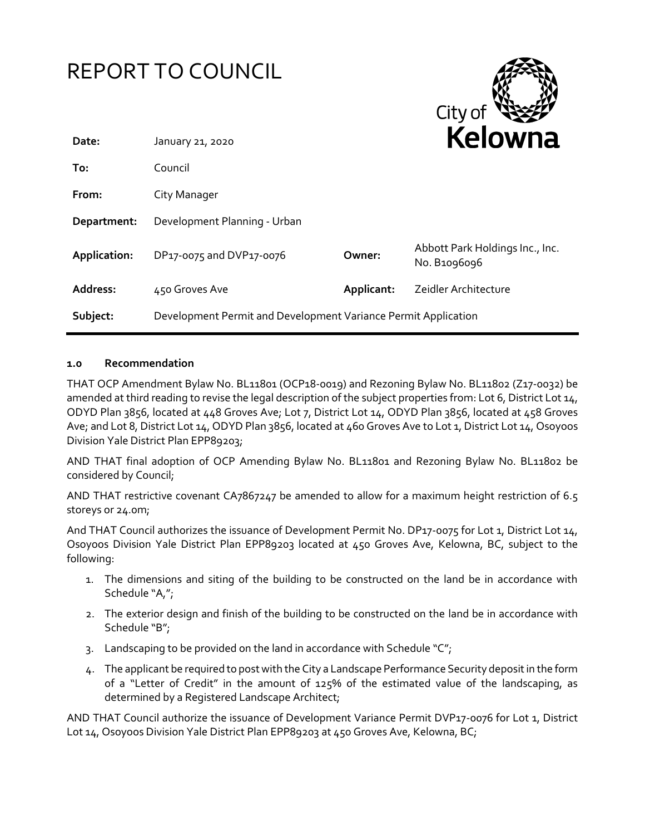|              | <b>REPORT TO COUNCIL</b>                                       |            | City of                                         |
|--------------|----------------------------------------------------------------|------------|-------------------------------------------------|
| Date:        | January 21, 2020                                               |            | <b>Kelowna</b>                                  |
| To:          | Council                                                        |            |                                                 |
| From:        | City Manager                                                   |            |                                                 |
| Department:  | Development Planning - Urban                                   |            |                                                 |
| Application: | DP17-0075 and DVP17-0076                                       | Owner:     | Abbott Park Holdings Inc., Inc.<br>No. B1096096 |
| Address:     | 450 Groves Ave                                                 | Applicant: | Zeidler Architecture                            |
| Subject:     | Development Permit and Development Variance Permit Application |            |                                                 |

# **1.0 Recommendation**

THAT OCP Amendment Bylaw No. BL11801 (OCP18-0019) and Rezoning Bylaw No. BL11802 (Z17-0032) be amended at third reading to revise the legal description of the subject properties from: Lot 6, District Lot 14, ODYD Plan 3856, located at 448 Groves Ave; Lot 7, District Lot 14, ODYD Plan 3856, located at 458 Groves Ave; and Lot 8, District Lot 14, ODYD Plan 3856, located at 460 Groves Ave to Lot 1, District Lot 14, Osoyoos Division Yale District Plan EPP89203;

AND THAT final adoption of OCP Amending Bylaw No. BL11801 and Rezoning Bylaw No. BL11802 be considered by Council;

AND THAT restrictive covenant CA7867247 be amended to allow for a maximum height restriction of 6.5 storeys or 24.0m;

And THAT Council authorizes the issuance of Development Permit No. DP17-0075 for Lot 1, District Lot 14, Osoyoos Division Yale District Plan EPP89203 located at 450 Groves Ave, Kelowna, BC, subject to the following:

- 1. The dimensions and siting of the building to be constructed on the land be in accordance with Schedule "A,";
- 2. The exterior design and finish of the building to be constructed on the land be in accordance with Schedule "B";
- 3. Landscaping to be provided on the land in accordance with Schedule " $C$ ";
- 4. The applicant be required to post with the City a Landscape Performance Security deposit in the form of a "Letter of Credit" in the amount of 125% of the estimated value of the landscaping, as determined by a Registered Landscape Architect;

AND THAT Council authorize the issuance of Development Variance Permit DVP17-0076 for Lot 1, District Lot 14, Osoyoos Division Yale District Plan EPP89203 at 450 Groves Ave, Kelowna, BC;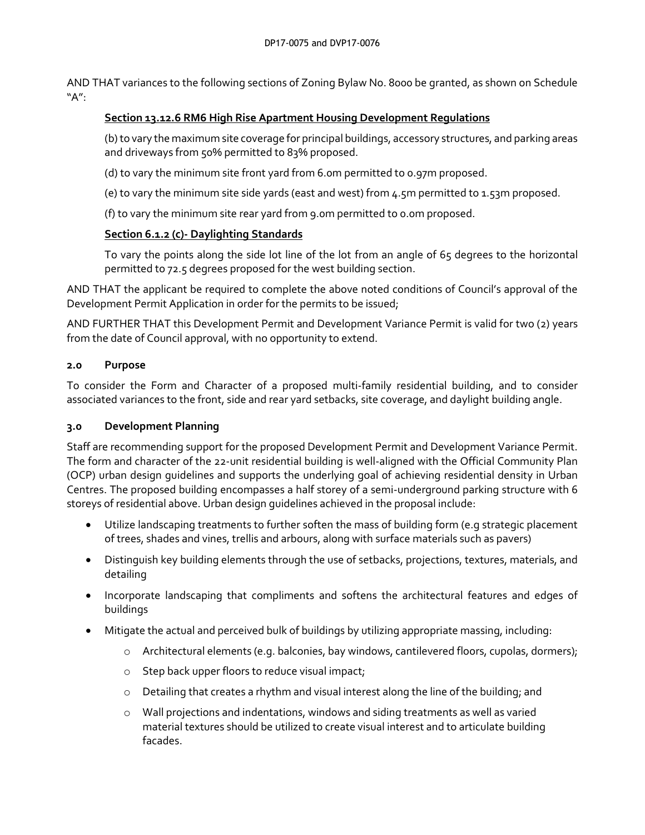AND THAT variances to the following sections of Zoning Bylaw No. 8000 be granted, as shown on Schedule "A":

#### **Section 13.12.6 RM6 High Rise Apartment Housing Development Regulations**

(b) to vary the maximum site coverage for principal buildings, accessory structures, and parking areas and driveways from 50% permitted to 83% proposed.

(d) to vary the minimum site front yard from 6.0m permitted to 0.97m proposed.

(e) to vary the minimum site side yards (east and west) from 4.5m permitted to 1.53m proposed.

(f) to vary the minimum site rear yard from 9.0m permitted to 0.0m proposed.

#### **Section 6.1.2 (c)- Daylighting Standards**

To vary the points along the side lot line of the lot from an angle of 65 degrees to the horizontal permitted to 72.5 degrees proposed for the west building section.

AND THAT the applicant be required to complete the above noted conditions of Council's approval of the Development Permit Application in order for the permits to be issued;

AND FURTHER THAT this Development Permit and Development Variance Permit is valid for two (2) years from the date of Council approval, with no opportunity to extend.

#### **2.0 Purpose**

To consider the Form and Character of a proposed multi-family residential building, and to consider associated variances to the front, side and rear yard setbacks, site coverage, and daylight building angle.

# **3.0 Development Planning**

Staff are recommending support for the proposed Development Permit and Development Variance Permit. The form and character of the 22-unit residential building is well-aligned with the Official Community Plan (OCP) urban design guidelines and supports the underlying goal of achieving residential density in Urban Centres. The proposed building encompasses a half storey of a semi-underground parking structure with 6 storeys of residential above. Urban design guidelines achieved in the proposal include:

- Utilize landscaping treatments to further soften the mass of building form (e.g strategic placement of trees, shades and vines, trellis and arbours, along with surface materials such as pavers)
- Distinguish key building elements through the use of setbacks, projections, textures, materials, and detailing
- Incorporate landscaping that compliments and softens the architectural features and edges of buildings
- Mitigate the actual and perceived bulk of buildings by utilizing appropriate massing, including:
	- o Architectural elements (e.g. balconies, bay windows, cantilevered floors, cupolas, dormers);
	- o Step back upper floors to reduce visual impact;
	- $\circ$  Detailing that creates a rhythm and visual interest along the line of the building; and
	- o Wall projections and indentations, windows and siding treatments as well as varied material textures should be utilized to create visual interest and to articulate building facades.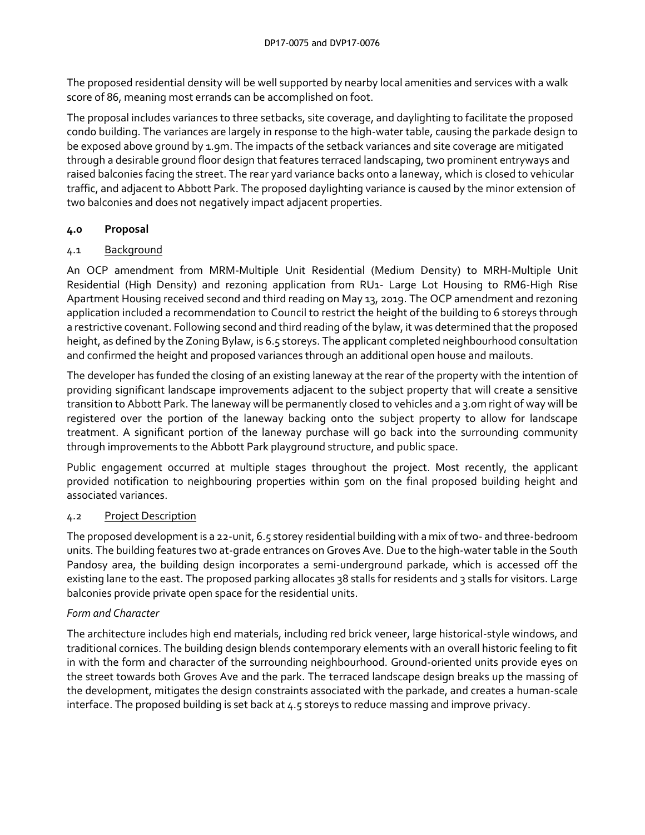The proposed residential density will be well supported by nearby local amenities and services with a walk score of 86, meaning most errands can be accomplished on foot.

The proposal includes variances to three setbacks, site coverage, and daylighting to facilitate the proposed condo building. The variances are largely in response to the high-water table, causing the parkade design to be exposed above ground by 1.9m. The impacts of the setback variances and site coverage are mitigated through a desirable ground floor design that features terraced landscaping, two prominent entryways and raised balconies facing the street. The rear yard variance backs onto a laneway, which is closed to vehicular traffic, and adjacent to Abbott Park. The proposed daylighting variance is caused by the minor extension of two balconies and does not negatively impact adjacent properties.

# **4.0 Proposal**

# 4.1 Background

An OCP amendment from MRM-Multiple Unit Residential (Medium Density) to MRH-Multiple Unit Residential (High Density) and rezoning application from RU1- Large Lot Housing to RM6-High Rise Apartment Housing received second and third reading on May 13, 2019. The OCP amendment and rezoning application included a recommendation to Council to restrict the height of the building to 6 storeys through a restrictive covenant. Following second and third reading of the bylaw, it was determined that the proposed height, as defined by the Zoning Bylaw, is 6.5 storeys. The applicant completed neighbourhood consultation and confirmed the height and proposed variances through an additional open house and mailouts.

The developer has funded the closing of an existing laneway at the rear of the property with the intention of providing significant landscape improvements adjacent to the subject property that will create a sensitive transition to Abbott Park. The laneway will be permanently closed to vehicles and a 3.0m right of way will be registered over the portion of the laneway backing onto the subject property to allow for landscape treatment. A significant portion of the laneway purchase will go back into the surrounding community through improvements to the Abbott Park playground structure, and public space.

Public engagement occurred at multiple stages throughout the project. Most recently, the applicant provided notification to neighbouring properties within 50m on the final proposed building height and associated variances.

# 4.2 Project Description

The proposed development is a 22-unit, 6.5 storey residential building with a mix of two- and three-bedroom units. The building features two at-grade entrances on Groves Ave. Due to the high-water table in the South Pandosy area, the building design incorporates a semi-underground parkade, which is accessed off the existing lane to the east. The proposed parking allocates 38 stalls for residents and 3 stalls for visitors. Large balconies provide private open space for the residential units.

# *Form and Character*

The architecture includes high end materials, including red brick veneer, large historical-style windows, and traditional cornices. The building design blends contemporary elements with an overall historic feeling to fit in with the form and character of the surrounding neighbourhood. Ground-oriented units provide eyes on the street towards both Groves Ave and the park. The terraced landscape design breaks up the massing of the development, mitigates the design constraints associated with the parkade, and creates a human-scale interface. The proposed building is set back at 4.5 storeys to reduce massing and improve privacy.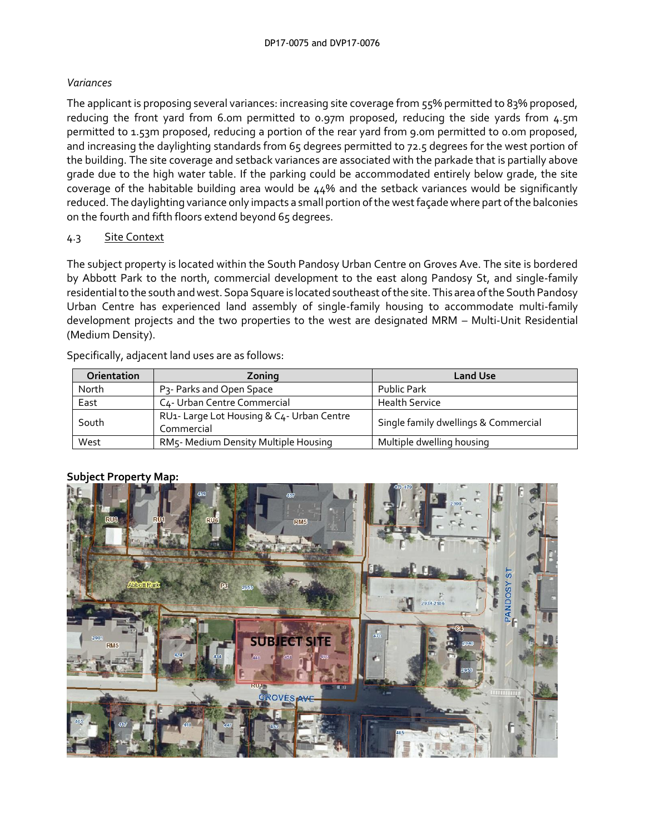# *Variances*

The applicant is proposing several variances: increasing site coverage from 55% permitted to 83% proposed, reducing the front yard from 6.0m permitted to 0.97m proposed, reducing the side yards from 4.5m permitted to 1.53m proposed, reducing a portion of the rear yard from 9.0m permitted to 0.0m proposed, and increasing the daylighting standards from 65 degrees permitted to 72.5 degrees for the west portion of the building. The site coverage and setback variances are associated with the parkade that is partially above grade due to the high water table. If the parking could be accommodated entirely below grade, the site coverage of the habitable building area would be 44% and the setback variances would be significantly reduced. The daylighting variance only impacts a small portion of the west façade where part of the balconies on the fourth and fifth floors extend beyond 65 degrees.

# 4.3 Site Context

The subject property is located within the South Pandosy Urban Centre on Groves Ave. The site is bordered by Abbott Park to the north, commercial development to the east along Pandosy St, and single-family residentialto the south and west. Sopa Square is located southeast of the site. This area of the South Pandosy Urban Centre has experienced land assembly of single-family housing to accommodate multi-family development projects and the two properties to the west are designated MRM – Multi-Unit Residential (Medium Density).

Specifically, adjacent land uses are as follows:

| <b>Orientation</b> | Zoning                                                  | <b>Land Use</b>                      |
|--------------------|---------------------------------------------------------|--------------------------------------|
| North              | P <sub>3</sub> - Parks and Open Space                   | Public Park                          |
| East               | C <sub>4</sub> - Urban Centre Commercial                | <b>Health Service</b>                |
| South              | RU1- Large Lot Housing & C4- Urban Centre<br>Commercial | Single family dwellings & Commercial |
| West               | RM5- Medium Density Multiple Housing                    | Multiple dwelling housing            |

# **Subject Property Map:**

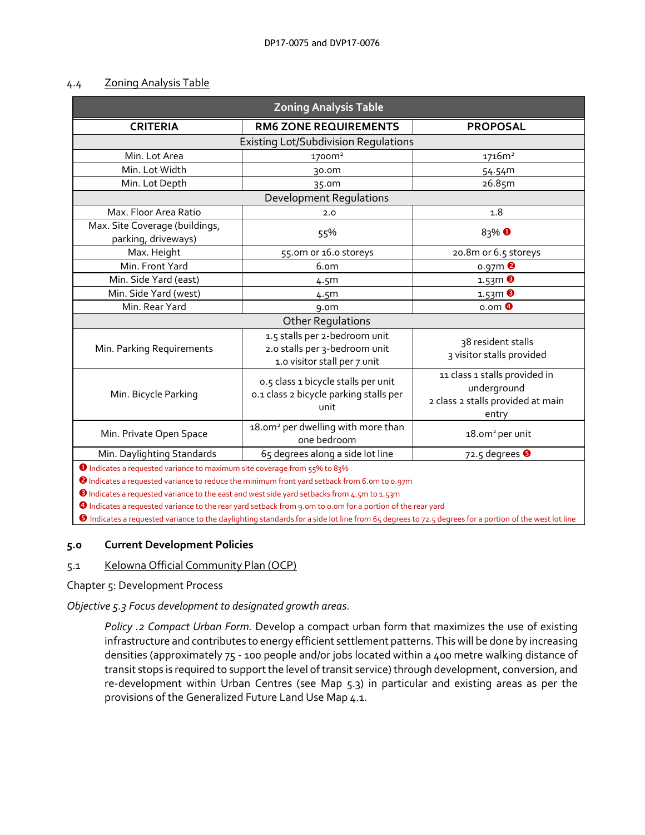#### 4.4 Zoning Analysis Table

| <b>Zoning Analysis Table</b>                                                         |                                                                                                                                                                                                               |                                                                                            |  |  |  |  |
|--------------------------------------------------------------------------------------|---------------------------------------------------------------------------------------------------------------------------------------------------------------------------------------------------------------|--------------------------------------------------------------------------------------------|--|--|--|--|
| <b>CRITERIA</b>                                                                      | <b>RM6 ZONE REQUIREMENTS</b>                                                                                                                                                                                  | <b>PROPOSAL</b>                                                                            |  |  |  |  |
| <b>Existing Lot/Subdivision Regulations</b>                                          |                                                                                                                                                                                                               |                                                                                            |  |  |  |  |
| Min. Lot Area                                                                        | 1700m <sup>2</sup>                                                                                                                                                                                            | 1716m <sup>2</sup>                                                                         |  |  |  |  |
| Min. Lot Width                                                                       | 30.0m                                                                                                                                                                                                         | 54.54m                                                                                     |  |  |  |  |
| Min. Lot Depth                                                                       | 35.0m                                                                                                                                                                                                         | 26.85m                                                                                     |  |  |  |  |
| <b>Development Regulations</b>                                                       |                                                                                                                                                                                                               |                                                                                            |  |  |  |  |
| Max. Floor Area Ratio                                                                | 2.0                                                                                                                                                                                                           | 1.8                                                                                        |  |  |  |  |
| Max. Site Coverage (buildings,<br>parking, driveways)                                | 55%                                                                                                                                                                                                           | $83\%$ <sup>O</sup>                                                                        |  |  |  |  |
| Max. Height                                                                          | 55.0m or 16.0 storeys                                                                                                                                                                                         | 20.8m or 6.5 storeys                                                                       |  |  |  |  |
| Min. Front Yard                                                                      | 6.om                                                                                                                                                                                                          | $0.97m$ <sup>2</sup>                                                                       |  |  |  |  |
| Min. Side Yard (east)                                                                | 4.5 <sup>m</sup>                                                                                                                                                                                              | $1.53m$ $\Theta$                                                                           |  |  |  |  |
| Min. Side Yard (west)                                                                | 4.5 <sup>m</sup>                                                                                                                                                                                              | $1.53m$ $\odot$                                                                            |  |  |  |  |
| Min. Rear Yard                                                                       | 9.0 <sub>m</sub>                                                                                                                                                                                              | $o.$ om $\bullet$                                                                          |  |  |  |  |
| <b>Other Regulations</b>                                                             |                                                                                                                                                                                                               |                                                                                            |  |  |  |  |
| Min. Parking Requirements                                                            | 1.5 stalls per 2-bedroom unit<br>2.0 stalls per 3-bedroom unit<br>1.0 visitor stall per 7 unit                                                                                                                | 38 resident stalls<br>3 visitor stalls provided                                            |  |  |  |  |
| Min. Bicycle Parking                                                                 | 0.5 class 1 bicycle stalls per unit<br>0.1 class 2 bicycle parking stalls per<br>unit                                                                                                                         | 11 class 1 stalls provided in<br>underground<br>2 class 2 stalls provided at main<br>entry |  |  |  |  |
| Min. Private Open Space                                                              | 18.0m <sup>2</sup> per dwelling with more than<br>one bedroom                                                                                                                                                 | 18.0m <sup>2</sup> per unit                                                                |  |  |  |  |
| Min. Daylighting Standards                                                           | 65 degrees along a side lot line                                                                                                                                                                              | 72.5 degrees $\Theta$                                                                      |  |  |  |  |
| <sup>0</sup> Indicates a requested variance to maximum site coverage from 55% to 83% | <sup>2</sup> Indicates a requested variance to reduce the minimum front yard setback from 6.0m to 0.97m<br><b>B</b> Indicates a requested variance to the east and west side yard setbacks from 4.5m to 1.53m |                                                                                            |  |  |  |  |

Indicates a requested variance to the rear yard setback from 9.0m to 0.0m for a portion of the rear yard

Indicates a requested variance to the daylighting standards for a side lot line from 65 degrees to 72.5 degrees for a portion of the west lot line

#### **5.0 Current Development Policies**

# 5.1 Kelowna Official Community Plan (OCP)

Chapter 5: Development Process

*Objective 5.3 Focus development to designated growth areas.*

*Policy .2 Compact Urban Form.* Develop a compact urban form that maximizes the use of existing infrastructure and contributes to energy efficient settlement patterns. This will be done by increasing densities (approximately 75 - 100 people and/or jobs located within a 400 metre walking distance of transit stops is required to support the level of transit service) through development, conversion, and re-development within Urban Centres (see Map 5.3) in particular and existing areas as per the provisions of the Generalized Future Land Use Map 4.1.